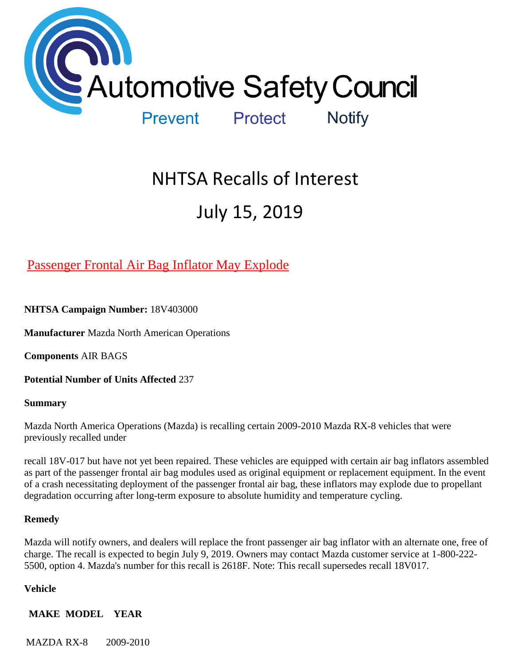

# NHTSA Recalls of Interest July 15, 2019

[Passenger Frontal Air Bag Inflator May Explode](https://www.nhtsa.gov/recalls?nhtsaId=18V403#recalls650) 

**NHTSA Campaign Number:** 18V403000

**Manufacturer** Mazda North American Operations

**Components** AIR BAGS

**Potential Number of Units Affected** 237

**Summary**

Mazda North America Operations (Mazda) is recalling certain 2009-2010 Mazda RX-8 vehicles that were previously recalled under

recall 18V-017 but have not yet been repaired. These vehicles are equipped with certain air bag inflators assembled as part of the passenger frontal air bag modules used as original equipment or replacement equipment. In the event of a crash necessitating deployment of the passenger frontal air bag, these inflators may explode due to propellant degradation occurring after long-term exposure to absolute humidity and temperature cycling.

#### **Remedy**

Mazda will notify owners, and dealers will replace the front passenger air bag inflator with an alternate one, free of charge. The recall is expected to begin July 9, 2019. Owners may contact Mazda customer service at 1-800-222- 5500, option 4. Mazda's number for this recall is 2618F. Note: This recall supersedes recall 18V017.

#### **Vehicle**

## **MAKE MODEL YEAR**

MAZDA RX-8 2009-2010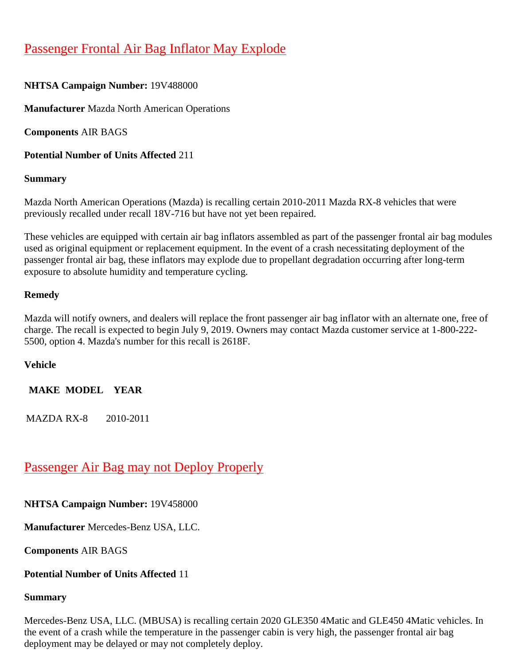# [Passenger Frontal Air Bag Inflator May Explode](https://www.nhtsa.gov/recalls?nhtsaId=19V488#recalls650)

# **NHTSA Campaign Number:** 19V488000

**Manufacturer** Mazda North American Operations

**Components** AIR BAGS

**Potential Number of Units Affected** 211

## **Summary**

Mazda North American Operations (Mazda) is recalling certain 2010-2011 Mazda RX-8 vehicles that were previously recalled under recall 18V-716 but have not yet been repaired.

These vehicles are equipped with certain air bag inflators assembled as part of the passenger frontal air bag modules used as original equipment or replacement equipment. In the event of a crash necessitating deployment of the passenger frontal air bag, these inflators may explode due to propellant degradation occurring after long-term exposure to absolute humidity and temperature cycling.

## **Remedy**

Mazda will notify owners, and dealers will replace the front passenger air bag inflator with an alternate one, free of charge. The recall is expected to begin July 9, 2019. Owners may contact Mazda customer service at 1-800-222- 5500, option 4. Mazda's number for this recall is 2618F.

## **Vehicle**

**MAKE MODEL YEAR**

MAZDA RX-8 2010-2011

# [Passenger Air Bag may not Deploy Properly](https://www.nhtsa.gov/recalls?nhtsaId=19V458#recalls650)

## **NHTSA Campaign Number:** 19V458000

**Manufacturer** Mercedes-Benz USA, LLC.

**Components** AIR BAGS

#### **Potential Number of Units Affected** 11

#### **Summary**

Mercedes-Benz USA, LLC. (MBUSA) is recalling certain 2020 GLE350 4Matic and GLE450 4Matic vehicles. In the event of a crash while the temperature in the passenger cabin is very high, the passenger frontal air bag deployment may be delayed or may not completely deploy.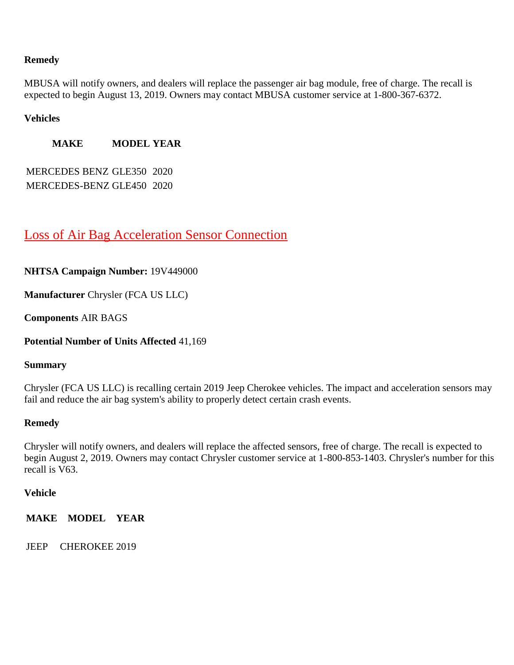#### **Remedy**

MBUSA will notify owners, and dealers will replace the passenger air bag module, free of charge. The recall is expected to begin August 13, 2019. Owners may contact MBUSA customer service at 1-800-367-6372.

#### **Vehicles**

**MAKE MODEL YEAR**

MERCEDES BENZ GLE350 2020 MERCEDES-BENZ GLE450 2020

# [Loss of Air Bag Acceleration Sensor Connection](https://www.nhtsa.gov/recalls?nhtsaId=19V449#recalls650)

#### **NHTSA Campaign Number:** 19V449000

**Manufacturer** Chrysler (FCA US LLC)

**Components** AIR BAGS

**Potential Number of Units Affected** 41,169

#### **Summary**

Chrysler (FCA US LLC) is recalling certain 2019 Jeep Cherokee vehicles. The impact and acceleration sensors may fail and reduce the air bag system's ability to properly detect certain crash events.

#### **Remedy**

Chrysler will notify owners, and dealers will replace the affected sensors, free of charge. The recall is expected to begin August 2, 2019. Owners may contact Chrysler customer service at 1-800-853-1403. Chrysler's number for this recall is V63.

#### **Vehicle**

**MAKE MODEL YEAR**

JEEP CHEROKEE 2019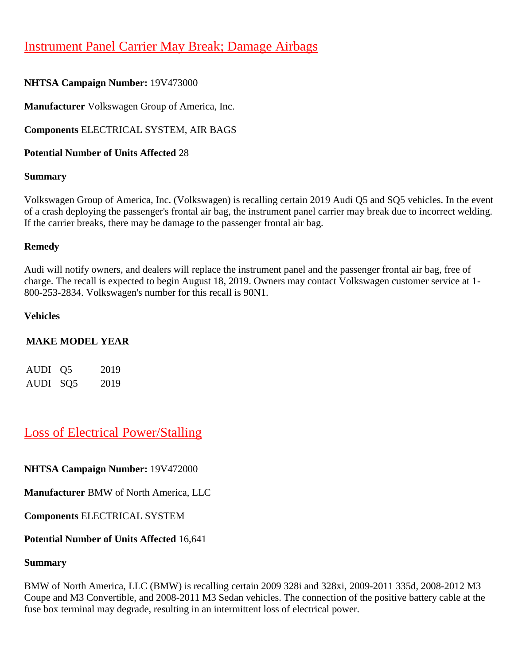# [Instrument Panel Carrier May Break; Damage Airbags](https://www.nhtsa.gov/recalls?nhtsaId=19V473#recalls650)

## **NHTSA Campaign Number:** 19V473000

**Manufacturer** Volkswagen Group of America, Inc.

**Components** ELECTRICAL SYSTEM, AIR BAGS

**Potential Number of Units Affected** 28

#### **Summary**

Volkswagen Group of America, Inc. (Volkswagen) is recalling certain 2019 Audi Q5 and SQ5 vehicles. In the event of a crash deploying the passenger's frontal air bag, the instrument panel carrier may break due to incorrect welding. If the carrier breaks, there may be damage to the passenger frontal air bag.

#### **Remedy**

Audi will notify owners, and dealers will replace the instrument panel and the passenger frontal air bag, free of charge. The recall is expected to begin August 18, 2019. Owners may contact Volkswagen customer service at 1- 800-253-2834. Volkswagen's number for this recall is 90N1.

#### **Vehicles**

#### **MAKE MODEL YEAR**

| AUDI 05  | 2019 |
|----------|------|
| AUDI SQ5 | 2019 |

# [Loss of Electrical Power/Stalling](https://www.nhtsa.gov/recalls?nhtsaId=19V472#recalls650)

**NHTSA Campaign Number:** 19V472000

**Manufacturer** BMW of North America, LLC

**Components** ELECTRICAL SYSTEM

#### **Potential Number of Units Affected** 16,641

#### **Summary**

BMW of North America, LLC (BMW) is recalling certain 2009 328i and 328xi, 2009-2011 335d, 2008-2012 M3 Coupe and M3 Convertible, and 2008-2011 M3 Sedan vehicles. The connection of the positive battery cable at the fuse box terminal may degrade, resulting in an intermittent loss of electrical power.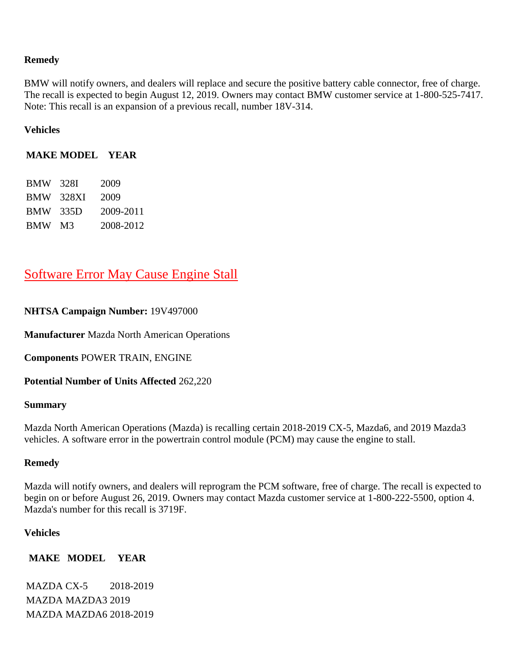#### **Remedy**

BMW will notify owners, and dealers will replace and secure the positive battery cable connector, free of charge. The recall is expected to begin August 12, 2019. Owners may contact BMW customer service at 1-800-525-7417. Note: This recall is an expansion of a previous recall, number 18V-314.

#### **Vehicles**

#### **MAKE MODEL YEAR**

| <b>BMW</b> | 328I  | 2009      |
|------------|-------|-----------|
| <b>BMW</b> | 328XI | 2009      |
| <b>BMW</b> | 335D  | 2009-2011 |
| BMW -      | - M3  | 2008-2012 |

# [Software Error May Cause Engine Stall](https://www.nhtsa.gov/recalls?nhtsaId=19V497#recalls650)

#### **NHTSA Campaign Number:** 19V497000

**Manufacturer** Mazda North American Operations

**Components** POWER TRAIN, ENGINE

**Potential Number of Units Affected** 262,220

#### **Summary**

Mazda North American Operations (Mazda) is recalling certain 2018-2019 CX-5, Mazda6, and 2019 Mazda3 vehicles. A software error in the powertrain control module (PCM) may cause the engine to stall.

#### **Remedy**

Mazda will notify owners, and dealers will reprogram the PCM software, free of charge. The recall is expected to begin on or before August 26, 2019. Owners may contact Mazda customer service at 1-800-222-5500, option 4. Mazda's number for this recall is 3719F.

#### **Vehicles**

#### **MAKE MODEL YEAR**

MAZDA CX-5 2018-2019 MAZDA MAZDA3 2019 MAZDA MAZDA6 2018-2019